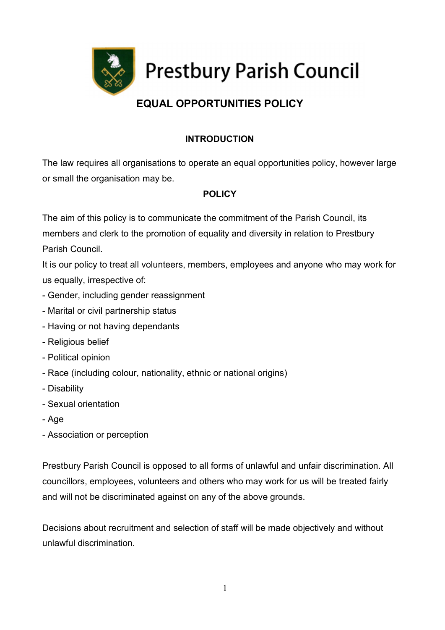

# EQUAL OPPORTUNITIES POLICY

### INTRODUCTION

The law requires all organisations to operate an equal opportunities policy, however large or small the organisation may be.

### POLICY

The aim of this policy is to communicate the commitment of the Parish Council, its members and clerk to the promotion of equality and diversity in relation to Prestbury Parish Council.

It is our policy to treat all volunteers, members, employees and anyone who may work for us equally, irrespective of:

- Gender, including gender reassignment
- Marital or civil partnership status
- Having or not having dependants
- Religious belief
- Political opinion
- Race (including colour, nationality, ethnic or national origins)
- Disability
- Sexual orientation
- Age
- Association or perception

Prestbury Parish Council is opposed to all forms of unlawful and unfair discrimination. All councillors, employees, volunteers and others who may work for us will be treated fairly and will not be discriminated against on any of the above grounds.

Decisions about recruitment and selection of staff will be made objectively and without unlawful discrimination.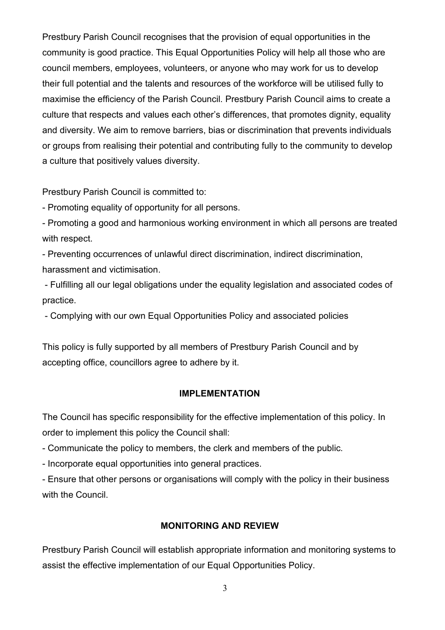Prestbury Parish Council recognises that the provision of equal opportunities in the community is good practice. This Equal Opportunities Policy will help all those who are council members, employees, volunteers, or anyone who may work for us to develop their full potential and the talents and resources of the workforce will be utilised fully to maximise the efficiency of the Parish Council. Prestbury Parish Council aims to create a culture that respects and values each other's differences, that promotes dignity, equality and diversity. We aim to remove barriers, bias or discrimination that prevents individuals or groups from realising their potential and contributing fully to the community to develop a culture that positively values diversity.

Prestbury Parish Council is committed to:

- Promoting equality of opportunity for all persons.

- Promoting a good and harmonious working environment in which all persons are treated with respect.

- Preventing occurrences of unlawful direct discrimination, indirect discrimination, harassment and victimisation.

 - Fulfilling all our legal obligations under the equality legislation and associated codes of practice.

- Complying with our own Equal Opportunities Policy and associated policies

This policy is fully supported by all members of Prestbury Parish Council and by accepting office, councillors agree to adhere by it.

#### IMPLEMENTATION

The Council has specific responsibility for the effective implementation of this policy. In order to implement this policy the Council shall:

- Communicate the policy to members, the clerk and members of the public.

- Incorporate equal opportunities into general practices.

- Ensure that other persons or organisations will comply with the policy in their business with the Council.

#### MONITORING AND REVIEW

Prestbury Parish Council will establish appropriate information and monitoring systems to assist the effective implementation of our Equal Opportunities Policy.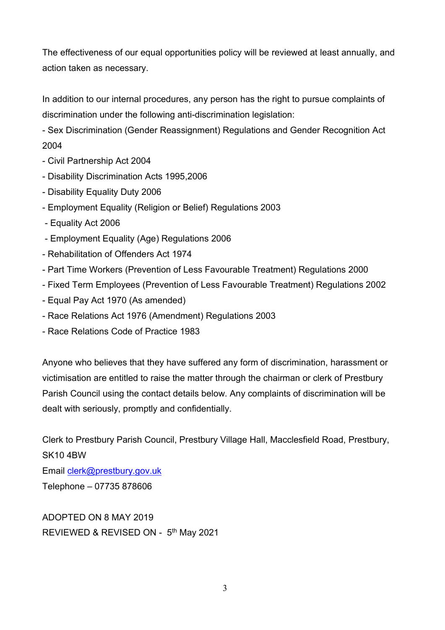The effectiveness of our equal opportunities policy will be reviewed at least annually, and action taken as necessary.

In addition to our internal procedures, any person has the right to pursue complaints of discrimination under the following anti-discrimination legislation:

- Sex Discrimination (Gender Reassignment) Regulations and Gender Recognition Act 2004

- Civil Partnership Act 2004
- Disability Discrimination Acts 1995,2006
- Disability Equality Duty 2006
- Employment Equality (Religion or Belief) Regulations 2003
- Equality Act 2006
- Employment Equality (Age) Regulations 2006
- Rehabilitation of Offenders Act 1974
- Part Time Workers (Prevention of Less Favourable Treatment) Regulations 2000
- Fixed Term Employees (Prevention of Less Favourable Treatment) Regulations 2002
- Equal Pay Act 1970 (As amended)
- Race Relations Act 1976 (Amendment) Regulations 2003
- Race Relations Code of Practice 1983

Anyone who believes that they have suffered any form of discrimination, harassment or victimisation are entitled to raise the matter through the chairman or clerk of Prestbury Parish Council using the contact details below. Any complaints of discrimination will be dealt with seriously, promptly and confidentially.

Clerk to Prestbury Parish Council, Prestbury Village Hall, Macclesfield Road, Prestbury, SK10 4BW

Email clerk@prestbury.gov.uk

Telephone – 07735 878606

ADOPTED ON 8 MAY 2019 REVIEWED & REVISED ON - 5<sup>th</sup> May 2021